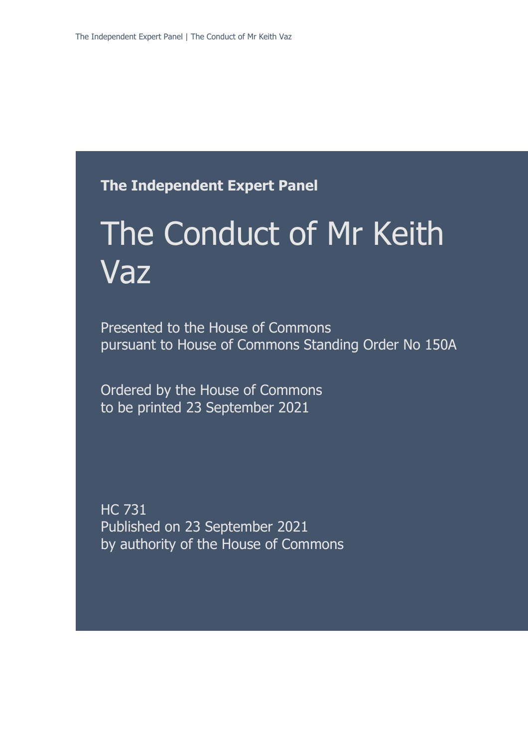### **The Independent Expert Panel**

# The Conduct of Mr Keith Vaz

Presented to the House of Commons pursuant to House of Commons Standing Order No 150A

Ordered by the House of Commons to be printed 23 September 2021

HC 731 Published on 23 September 2021 by authority of the House of Commons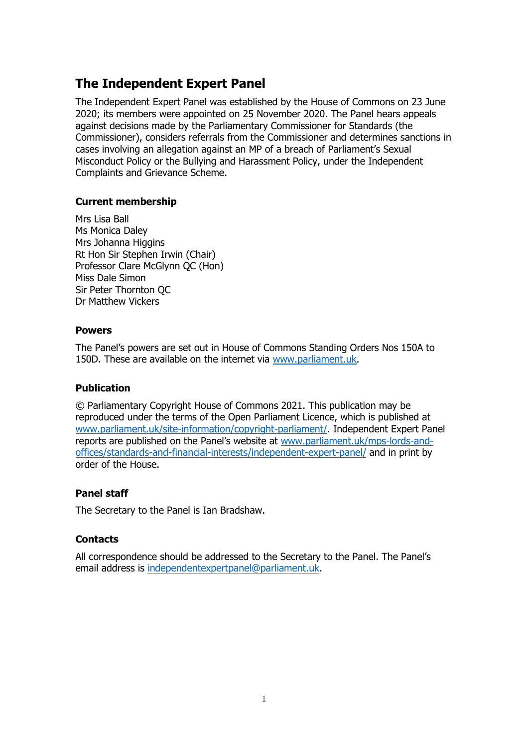### **The Independent Expert Panel**

The Independent Expert Panel was established by the House of Commons on 23 June 2020; its members were appointed on 25 November 2020. The Panel hears appeals against decisions made by the Parliamentary Commissioner for Standards (the Commissioner), considers referrals from the Commissioner and determines sanctions in cases involving an allegation against an MP of a breach of Parliament's Sexual Misconduct Policy or the Bullying and Harassment Policy, under the Independent Complaints and Grievance Scheme.

### **Current membership**

Mrs Lisa Ball Ms Monica Daley Mrs Johanna Higgins Rt Hon Sir Stephen Irwin (Chair) Professor Clare McGlynn QC (Hon) Miss Dale Simon Sir Peter Thornton QC Dr Matthew Vickers

### **Powers**

The Panel's powers are set out in House of Commons Standing Orders Nos 150A to 150D. These are available on the internet via [www.parliament.uk.](http://www.parliament.uk/)

### **Publication**

© Parliamentary Copyright House of Commons 2021. This publication may be reproduced under the terms of the Open Parliament Licence, which is published at [www.parliament.uk/site-information/copyright-parliament/.](http://www.parliament.uk/site-information/copyright-parliament/) Independent Expert Panel reports are published on the Panel's website at [www.parliament.uk/mps-lords-and](http://www.parliament.uk/mps-lords-and-offices/standards-and-financial-interests/independent-expert-panel/)[offices/standards-and-financial-interests/independent-expert-panel/](http://www.parliament.uk/mps-lords-and-offices/standards-and-financial-interests/independent-expert-panel/) and in print by order of the House.

### **Panel staff**

The Secretary to the Panel is Ian Bradshaw.

### **Contacts**

All correspondence should be addressed to the Secretary to the Panel. The Panel's email address is [independentexpertpanel@parliament.uk.](mailto:independentexpertpanel@parliament.uk)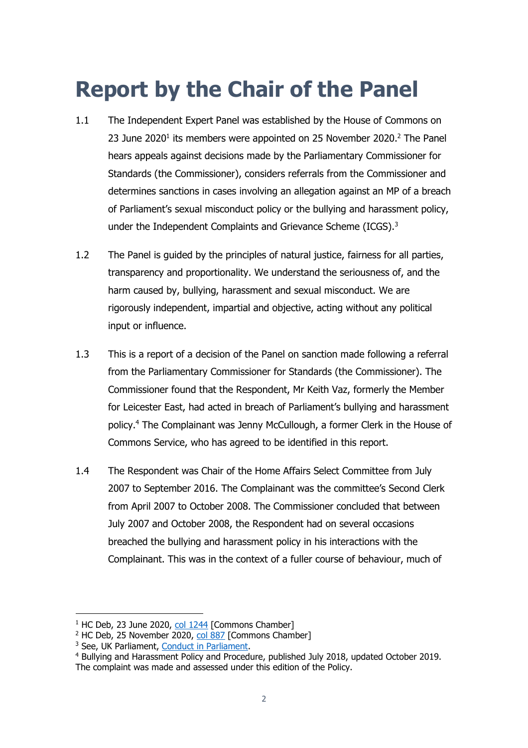## **Report by the Chair of the Panel**

- 1.1 The Independent Expert Panel was established by the House of Commons on 23 June 2020<sup>1</sup> its members were appointed on 25 November 2020.<sup>2</sup> The Panel hears appeals against decisions made by the Parliamentary Commissioner for Standards (the Commissioner), considers referrals from the Commissioner and determines sanctions in cases involving an allegation against an MP of a breach of Parliament's sexual misconduct policy or the bullying and harassment policy, under the Independent Complaints and Grievance Scheme (ICGS).<sup>3</sup>
- 1.2 The Panel is guided by the principles of natural justice, fairness for all parties, transparency and proportionality. We understand the seriousness of, and the harm caused by, bullying, harassment and sexual misconduct. We are rigorously independent, impartial and objective, acting without any political input or influence.
- 1.3 This is a report of a decision of the Panel on sanction made following a referral from the Parliamentary Commissioner for Standards (the Commissioner). The Commissioner found that the Respondent, Mr Keith Vaz, formerly the Member for Leicester East, had acted in breach of Parliament's bullying and harassment policy. <sup>4</sup> The Complainant was Jenny McCullough, a former Clerk in the House of Commons Service, who has agreed to be identified in this report.
- 1.4 The Respondent was Chair of the Home Affairs Select Committee from July 2007 to September 2016. The Complainant was the committee's Second Clerk from April 2007 to October 2008. The Commissioner concluded that between July 2007 and October 2008, the Respondent had on several occasions breached the bullying and harassment policy in his interactions with the Complainant. This was in the context of a fuller course of behaviour, much of

 $1$  HC Deb, 23 June 2020, [col 1244](https://hansard.parliament.uk/commons/2020-06-23/debates/9646C6AF-0D3A-424B-8949-E809F658DB4C/IndependentComplaintsAndGrievanceScheme) [Commons Chamber]

<sup>&</sup>lt;sup>2</sup> HC Deb, 25 November 2020, [col 887](https://hansard.parliament.uk/commons/2020-11-25/debates/68BE444A-B6D4-42FC-BA02-8658937A0A1A/IndependentExpertPanel) [Commons Chamber]

<sup>&</sup>lt;sup>3</sup> See, UK Parliament, [Conduct in Parliament.](https://www.parliament.uk/mps-lords-and-offices/standards-and-financial-interests/parliaments-behaviour-code/)

<sup>4</sup> Bullying and Harassment Policy and Procedure, published July 2018, updated October 2019.

The complaint was made and assessed under this edition of the Policy.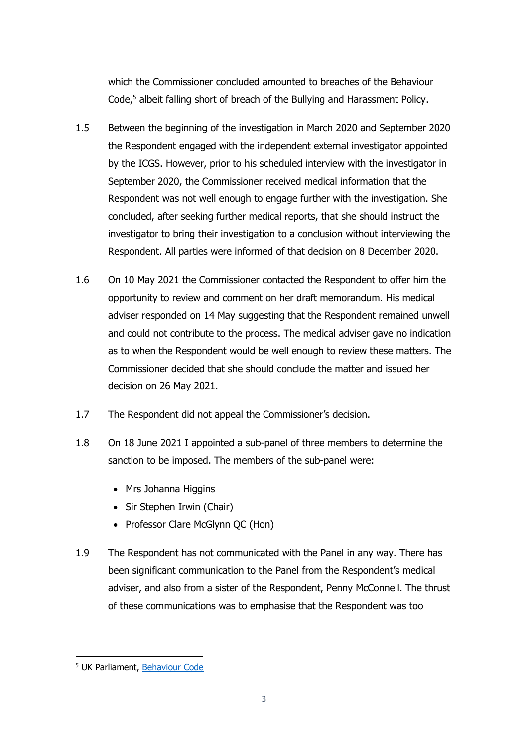which the Commissioner concluded amounted to breaches of the Behaviour Code, <sup>5</sup> albeit falling short of breach of the Bullying and Harassment Policy.

- 1.5 Between the beginning of the investigation in March 2020 and September 2020 the Respondent engaged with the independent external investigator appointed by the ICGS. However, prior to his scheduled interview with the investigator in September 2020, the Commissioner received medical information that the Respondent was not well enough to engage further with the investigation. She concluded, after seeking further medical reports, that she should instruct the investigator to bring their investigation to a conclusion without interviewing the Respondent. All parties were informed of that decision on 8 December 2020.
- 1.6 On 10 May 2021 the Commissioner contacted the Respondent to offer him the opportunity to review and comment on her draft memorandum. His medical adviser responded on 14 May suggesting that the Respondent remained unwell and could not contribute to the process. The medical adviser gave no indication as to when the Respondent would be well enough to review these matters. The Commissioner decided that she should conclude the matter and issued her decision on 26 May 2021.
- 1.7 The Respondent did not appeal the Commissioner's decision.
- 1.8 On 18 June 2021 I appointed a sub-panel of three members to determine the sanction to be imposed. The members of the sub-panel were:
	- Mrs Johanna Higgins
	- Sir Stephen Irwin (Chair)
	- Professor Clare McGlynn QC (Hon)
- 1.9 The Respondent has not communicated with the Panel in any way. There has been significant communication to the Panel from the Respondent's medical adviser, and also from a sister of the Respondent, Penny McConnell. The thrust of these communications was to emphasise that the Respondent was too

<sup>5</sup> UK Parliament, [Behaviour Code](https://www.parliament.uk/globalassets/documents/conduct-in-parliament/ukparliamentbehaviourcode.pdf)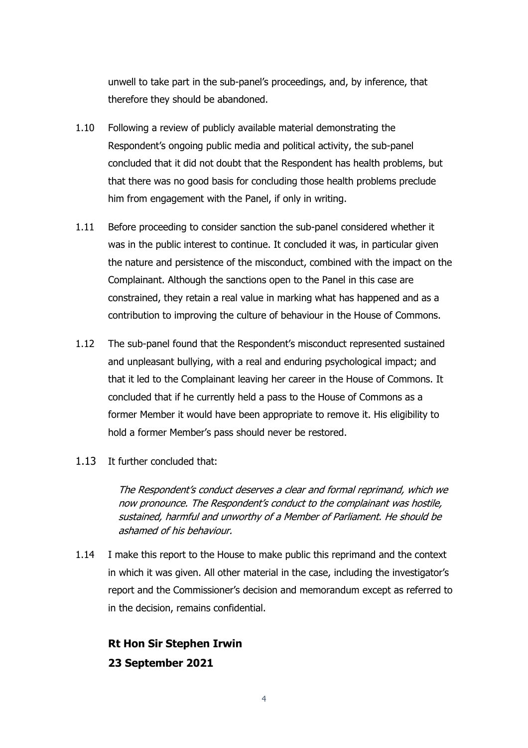unwell to take part in the sub-panel's proceedings, and, by inference, that therefore they should be abandoned.

- 1.10 Following a review of publicly available material demonstrating the Respondent's ongoing public media and political activity, the sub-panel concluded that it did not doubt that the Respondent has health problems, but that there was no good basis for concluding those health problems preclude him from engagement with the Panel, if only in writing.
- 1.11 Before proceeding to consider sanction the sub-panel considered whether it was in the public interest to continue. It concluded it was, in particular given the nature and persistence of the misconduct, combined with the impact on the Complainant. Although the sanctions open to the Panel in this case are constrained, they retain a real value in marking what has happened and as a contribution to improving the culture of behaviour in the House of Commons.
- 1.12 The sub-panel found that the Respondent's misconduct represented sustained and unpleasant bullying, with a real and enduring psychological impact; and that it led to the Complainant leaving her career in the House of Commons. It concluded that if he currently held a pass to the House of Commons as a former Member it would have been appropriate to remove it. His eligibility to hold a former Member's pass should never be restored.
- 1.13 It further concluded that:

The Respondent's conduct deserves a clear and formal reprimand, which we now pronounce. The Respondent's conduct to the complainant was hostile, sustained, harmful and unworthy of a Member of Parliament. He should be ashamed of his behaviour.

1.14 I make this report to the House to make public this reprimand and the context in which it was given. All other material in the case, including the investigator's report and the Commissioner's decision and memorandum except as referred to in the decision, remains confidential.

**Rt Hon Sir Stephen Irwin 23 September 2021**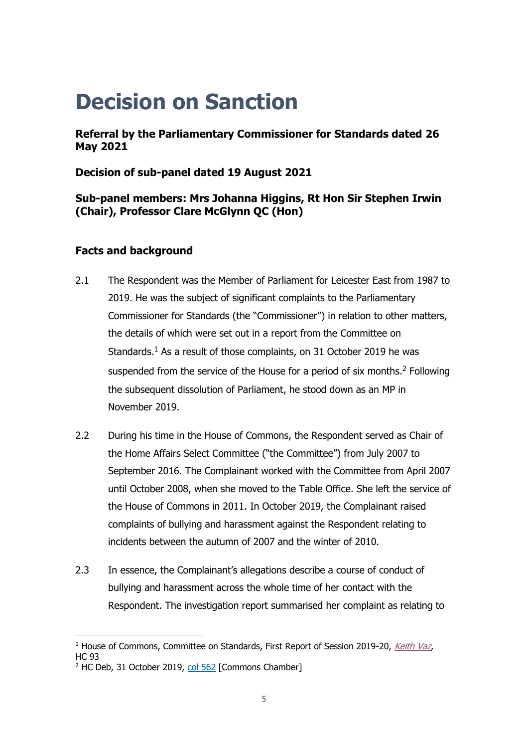### **Decision on Sanction**

**Referral by the Parliamentary Commissioner for Standards dated 26 May 2021**

**Decision of sub-panel dated 19 August 2021**

### **Sub-panel members: Mrs Johanna Higgins, Rt Hon Sir Stephen Irwin (Chair), Professor Clare McGlynn QC (Hon)**

### **Facts and background**

- 2.1 The Respondent was the Member of Parliament for Leicester East from 1987 to 2019. He was the subject of significant complaints to the Parliamentary Commissioner for Standards (the "Commissioner") in relation to other matters, the details of which were set out in a report from the Committee on Standards.<sup>1</sup> As a result of those complaints, on 31 October 2019 he was suspended from the service of the House for a period of six months.<sup>2</sup> Following the subsequent dissolution of Parliament, he stood down as an MP in November 2019.
- 2.2 During his time in the House of Commons, the Respondent served as Chair of the Home Affairs Select Committee ("the Committee") from July 2007 to September 2016. The Complainant worked with the Committee from April 2007 until October 2008, when she moved to the Table Office. She left the service of the House of Commons in 2011. In October 2019, the Complainant raised complaints of bullying and harassment against the Respondent relating to incidents between the autumn of 2007 and the winter of 2010.
- 2.3 In essence, the Complainant's allegations describe a course of conduct of bullying and harassment across the whole time of her contact with the Respondent. The investigation report summarised her complaint as relating to

<sup>&</sup>lt;sup>1</sup> House of Commons, Committee on Standards, First Report of Session 2019-20, [Keith Vaz](https://publications.parliament.uk/pa/cm201919/cmselect/cmstandards/93/93.pdf), HC 93

<sup>&</sup>lt;sup>2</sup> HC Deb, 31 October 2019, [col 562](https://hansard.parliament.uk/commons/2019-10-31/debates/2ABDDAEF-1FC6-47B3-B8F3-D6733DA32599/Standards) [Commons Chamber]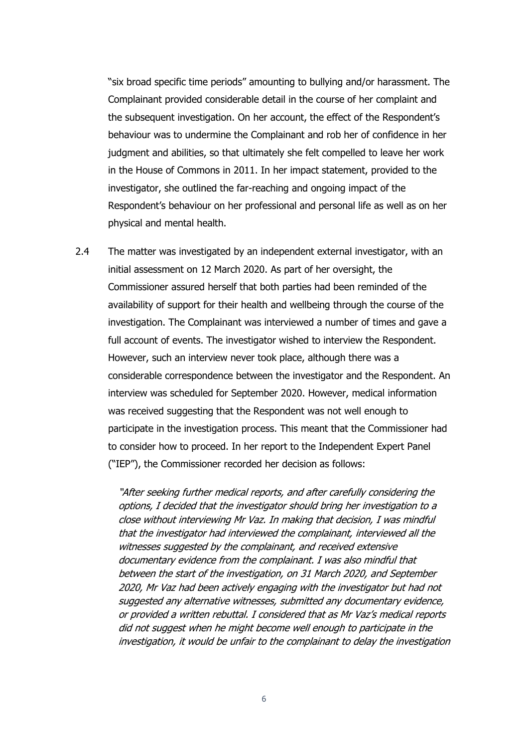"six broad specific time periods" amounting to bullying and/or harassment. The Complainant provided considerable detail in the course of her complaint and the subsequent investigation. On her account, the effect of the Respondent's behaviour was to undermine the Complainant and rob her of confidence in her judgment and abilities, so that ultimately she felt compelled to leave her work in the House of Commons in 2011. In her impact statement, provided to the investigator, she outlined the far-reaching and ongoing impact of the Respondent's behaviour on her professional and personal life as well as on her physical and mental health.

2.4 The matter was investigated by an independent external investigator, with an initial assessment on 12 March 2020. As part of her oversight, the Commissioner assured herself that both parties had been reminded of the availability of support for their health and wellbeing through the course of the investigation. The Complainant was interviewed a number of times and gave a full account of events. The investigator wished to interview the Respondent. However, such an interview never took place, although there was a considerable correspondence between the investigator and the Respondent. An interview was scheduled for September 2020. However, medical information was received suggesting that the Respondent was not well enough to participate in the investigation process. This meant that the Commissioner had to consider how to proceed. In her report to the Independent Expert Panel ("IEP"), the Commissioner recorded her decision as follows:

> "After seeking further medical reports, and after carefully considering the options, I decided that the investigator should bring her investigation to a close without interviewing Mr Vaz. In making that decision, I was mindful that the investigator had interviewed the complainant, interviewed all the witnesses suggested by the complainant, and received extensive documentary evidence from the complainant. I was also mindful that between the start of the investigation, on 31 March 2020, and September 2020, Mr Vaz had been actively engaging with the investigator but had not suggested any alternative witnesses, submitted any documentary evidence, or provided a written rebuttal. I considered that as Mr Vaz's medical reports did not suggest when he might become well enough to participate in the investigation, it would be unfair to the complainant to delay the investigation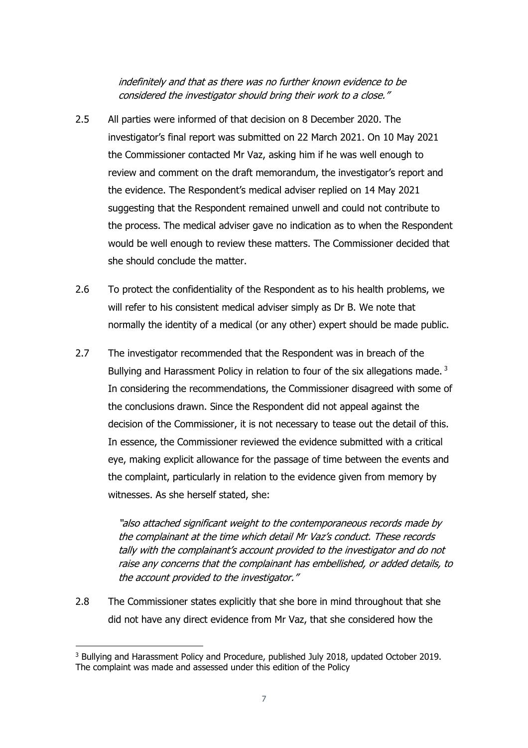indefinitely and that as there was no further known evidence to be considered the investigator should bring their work to a close."

- 2.5 All parties were informed of that decision on 8 December 2020. The investigator's final report was submitted on 22 March 2021. On 10 May 2021 the Commissioner contacted Mr Vaz, asking him if he was well enough to review and comment on the draft memorandum, the investigator's report and the evidence. The Respondent's medical adviser replied on 14 May 2021 suggesting that the Respondent remained unwell and could not contribute to the process. The medical adviser gave no indication as to when the Respondent would be well enough to review these matters. The Commissioner decided that she should conclude the matter.
- 2.6 To protect the confidentiality of the Respondent as to his health problems, we will refer to his consistent medical adviser simply as Dr B. We note that normally the identity of a medical (or any other) expert should be made public.
- 2.7 The investigator recommended that the Respondent was in breach of the Bullying and Harassment Policy in relation to four of the six allegations made.<sup>3</sup> In considering the recommendations, the Commissioner disagreed with some of the conclusions drawn. Since the Respondent did not appeal against the decision of the Commissioner, it is not necessary to tease out the detail of this. In essence, the Commissioner reviewed the evidence submitted with a critical eye, making explicit allowance for the passage of time between the events and the complaint, particularly in relation to the evidence given from memory by witnesses. As she herself stated, she:

"also attached significant weight to the contemporaneous records made by the complainant at the time which detail Mr Vaz's conduct. These records tally with the complainant's account provided to the investigator and do not raise any concerns that the complainant has embellished, or added details, to the account provided to the investigator."

2.8 The Commissioner states explicitly that she bore in mind throughout that she did not have any direct evidence from Mr Vaz, that she considered how the

<sup>&</sup>lt;sup>3</sup> Bullying and Harassment Policy and Procedure, published July 2018, updated October 2019. The complaint was made and assessed under this edition of the Policy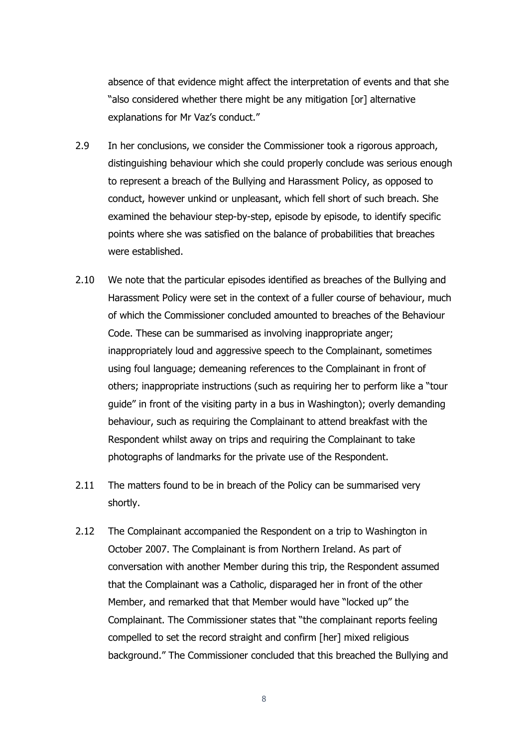absence of that evidence might affect the interpretation of events and that she "also considered whether there might be any mitigation [or] alternative explanations for Mr Vaz's conduct."

- 2.9 In her conclusions, we consider the Commissioner took a rigorous approach, distinguishing behaviour which she could properly conclude was serious enough to represent a breach of the Bullying and Harassment Policy, as opposed to conduct, however unkind or unpleasant, which fell short of such breach. She examined the behaviour step-by-step, episode by episode, to identify specific points where she was satisfied on the balance of probabilities that breaches were established.
- 2.10 We note that the particular episodes identified as breaches of the Bullying and Harassment Policy were set in the context of a fuller course of behaviour, much of which the Commissioner concluded amounted to breaches of the Behaviour Code. These can be summarised as involving inappropriate anger; inappropriately loud and aggressive speech to the Complainant, sometimes using foul language; demeaning references to the Complainant in front of others; inappropriate instructions (such as requiring her to perform like a "tour guide" in front of the visiting party in a bus in Washington); overly demanding behaviour, such as requiring the Complainant to attend breakfast with the Respondent whilst away on trips and requiring the Complainant to take photographs of landmarks for the private use of the Respondent.
- 2.11 The matters found to be in breach of the Policy can be summarised very shortly.
- 2.12 The Complainant accompanied the Respondent on a trip to Washington in October 2007. The Complainant is from Northern Ireland. As part of conversation with another Member during this trip, the Respondent assumed that the Complainant was a Catholic, disparaged her in front of the other Member, and remarked that that Member would have "locked up" the Complainant. The Commissioner states that "the complainant reports feeling compelled to set the record straight and confirm [her] mixed religious background." The Commissioner concluded that this breached the Bullying and

8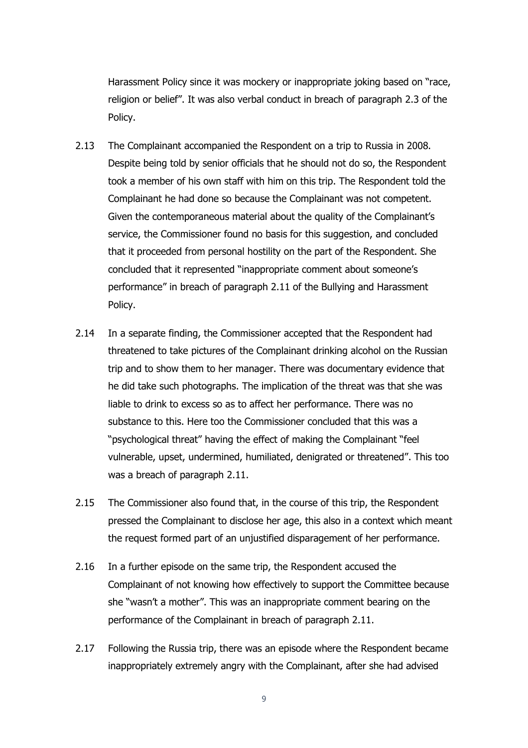Harassment Policy since it was mockery or inappropriate joking based on "race, religion or belief". It was also verbal conduct in breach of paragraph 2.3 of the Policy.

- 2.13 The Complainant accompanied the Respondent on a trip to Russia in 2008. Despite being told by senior officials that he should not do so, the Respondent took a member of his own staff with him on this trip. The Respondent told the Complainant he had done so because the Complainant was not competent. Given the contemporaneous material about the quality of the Complainant's service, the Commissioner found no basis for this suggestion, and concluded that it proceeded from personal hostility on the part of the Respondent. She concluded that it represented "inappropriate comment about someone's performance" in breach of paragraph 2.11 of the Bullying and Harassment Policy.
- 2.14 In a separate finding, the Commissioner accepted that the Respondent had threatened to take pictures of the Complainant drinking alcohol on the Russian trip and to show them to her manager. There was documentary evidence that he did take such photographs. The implication of the threat was that she was liable to drink to excess so as to affect her performance. There was no substance to this. Here too the Commissioner concluded that this was a "psychological threat" having the effect of making the Complainant "feel vulnerable, upset, undermined, humiliated, denigrated or threatened". This too was a breach of paragraph 2.11.
- 2.15 The Commissioner also found that, in the course of this trip, the Respondent pressed the Complainant to disclose her age, this also in a context which meant the request formed part of an unjustified disparagement of her performance.
- 2.16 In a further episode on the same trip, the Respondent accused the Complainant of not knowing how effectively to support the Committee because she "wasn't a mother". This was an inappropriate comment bearing on the performance of the Complainant in breach of paragraph 2.11.
- 2.17 Following the Russia trip, there was an episode where the Respondent became inappropriately extremely angry with the Complainant, after she had advised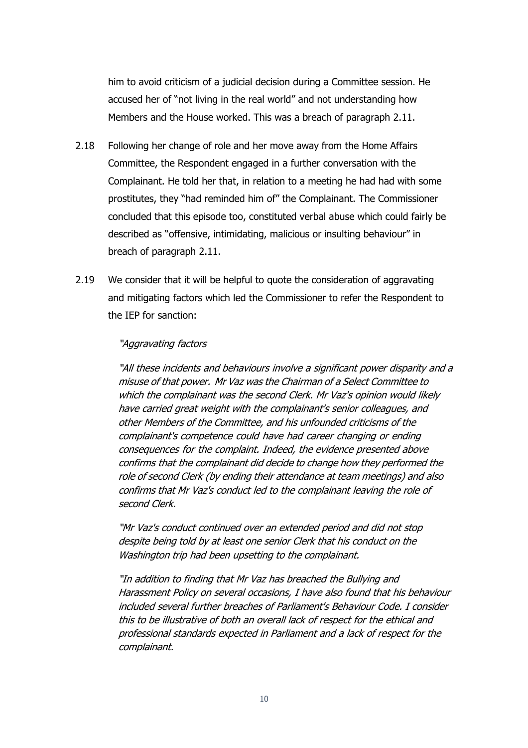him to avoid criticism of a judicial decision during a Committee session. He accused her of "not living in the real world" and not understanding how Members and the House worked. This was a breach of paragraph 2.11.

- 2.18 Following her change of role and her move away from the Home Affairs Committee, the Respondent engaged in a further conversation with the Complainant. He told her that, in relation to a meeting he had had with some prostitutes, they "had reminded him of" the Complainant. The Commissioner concluded that this episode too, constituted verbal abuse which could fairly be described as "offensive, intimidating, malicious or insulting behaviour" in breach of paragraph 2.11.
- 2.19 We consider that it will be helpful to quote the consideration of aggravating and mitigating factors which led the Commissioner to refer the Respondent to the IEP for sanction:

#### "Aggravating factors

"All these incidents and behaviours involve a significant power disparity and <sup>a</sup> misuse of that power. Mr Vaz was the Chairman of <sup>a</sup> Select Committee to which the complainant was the second Clerk. Mr Vaz's opinion would likely have carried great weight with the complainant's senior colleagues, and other Members of the Committee, and his unfounded criticisms of the complainant's competence could have had career changing or ending consequences for the complaint. Indeed, the evidence presented above confirms that the complainant did decide to change how they performed the role of second Clerk (by ending their attendance at team meetings) and also confirms that Mr Vaz's conduct led to the complainant leaving the role of second Clerk.

"Mr Vaz's conduct continued over an extended period and did not stop despite being told by at least one senior Clerk that his conduct on the Washington trip had been upsetting to the complainant.

"In addition to finding that Mr Vaz has breached the Bullying and Harassment Policy on several occasions, I have also found that his behaviour included several further breaches of Parliament's Behaviour Code. I consider this to be illustrative of both an overall lack of respect for the ethical and professional standards expected in Parliament and a lack of respect for the complainant.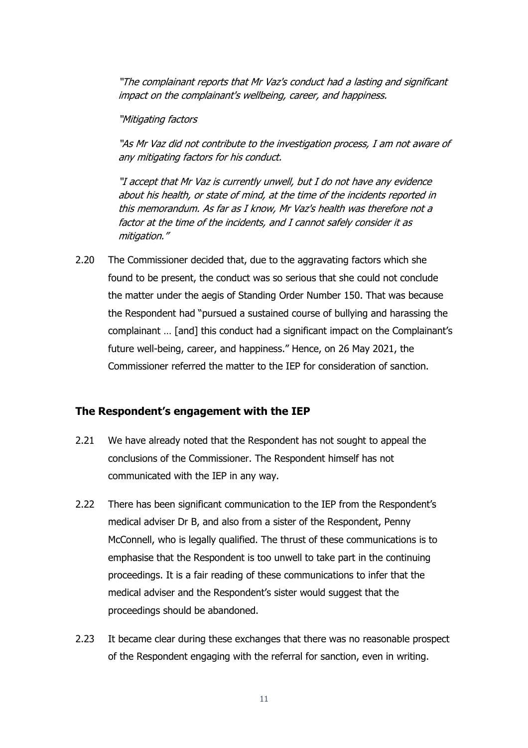"The complainant reports that Mr Vaz's conduct had a lasting and significant impact on the complainant's wellbeing, career, and happiness.

"Mitigating factors

"As Mr Vaz did not contribute to the investigation process, I am not aware of any mitigating factors for his conduct.

"I accept that Mr Vaz is currently unwell, but I do not have any evidence about his health, or state of mind, at the time of the incidents reported in this memorandum. As far as I know, Mr Vaz's health was therefore not a factor at the time of the incidents, and I cannot safely consider it as mitigation."

2.20 The Commissioner decided that, due to the aggravating factors which she found to be present, the conduct was so serious that she could not conclude the matter under the aegis of Standing Order Number 150. That was because the Respondent had "pursued a sustained course of bullying and harassing the complainant … [and] this conduct had a significant impact on the Complainant's future well-being, career, and happiness." Hence, on 26 May 2021, the Commissioner referred the matter to the IEP for consideration of sanction.

#### **The Respondent's engagement with the IEP**

- 2.21 We have already noted that the Respondent has not sought to appeal the conclusions of the Commissioner. The Respondent himself has not communicated with the IEP in any way.
- 2.22 There has been significant communication to the IEP from the Respondent's medical adviser Dr B, and also from a sister of the Respondent, Penny McConnell, who is legally qualified. The thrust of these communications is to emphasise that the Respondent is too unwell to take part in the continuing proceedings. It is a fair reading of these communications to infer that the medical adviser and the Respondent's sister would suggest that the proceedings should be abandoned.
- 2.23 It became clear during these exchanges that there was no reasonable prospect of the Respondent engaging with the referral for sanction, even in writing.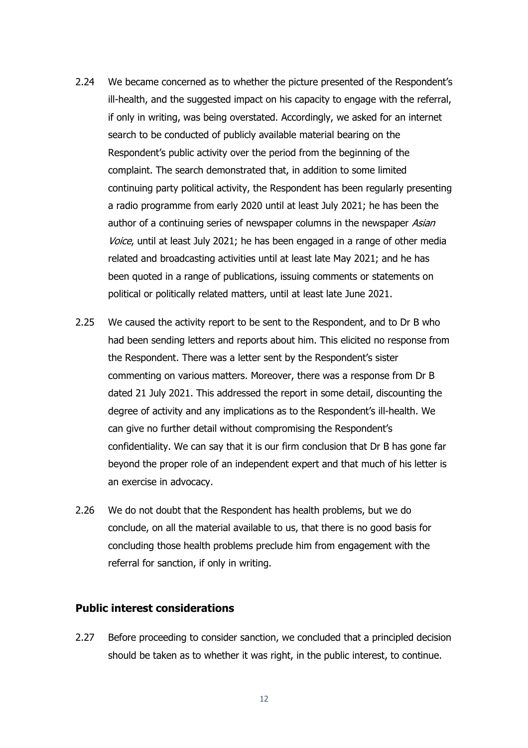- 2.24 We became concerned as to whether the picture presented of the Respondent's ill-health, and the suggested impact on his capacity to engage with the referral, if only in writing, was being overstated. Accordingly, we asked for an internet search to be conducted of publicly available material bearing on the Respondent's public activity over the period from the beginning of the complaint. The search demonstrated that, in addition to some limited continuing party political activity, the Respondent has been regularly presenting a radio programme from early 2020 until at least July 2021; he has been the author of a continuing series of newspaper columns in the newspaper Asian Voice, until at least July 2021; he has been engaged in a range of other media related and broadcasting activities until at least late May 2021; and he has been quoted in a range of publications, issuing comments or statements on political or politically related matters, until at least late June 2021.
- 2.25 We caused the activity report to be sent to the Respondent, and to Dr B who had been sending letters and reports about him. This elicited no response from the Respondent. There was a letter sent by the Respondent's sister commenting on various matters. Moreover, there was a response from Dr B dated 21 July 2021. This addressed the report in some detail, discounting the degree of activity and any implications as to the Respondent's ill-health. We can give no further detail without compromising the Respondent's confidentiality. We can say that it is our firm conclusion that Dr B has gone far beyond the proper role of an independent expert and that much of his letter is an exercise in advocacy.
- 2.26 We do not doubt that the Respondent has health problems, but we do conclude, on all the material available to us, that there is no good basis for concluding those health problems preclude him from engagement with the referral for sanction, if only in writing.

### **Public interest considerations**

2.27 Before proceeding to consider sanction, we concluded that a principled decision should be taken as to whether it was right, in the public interest, to continue.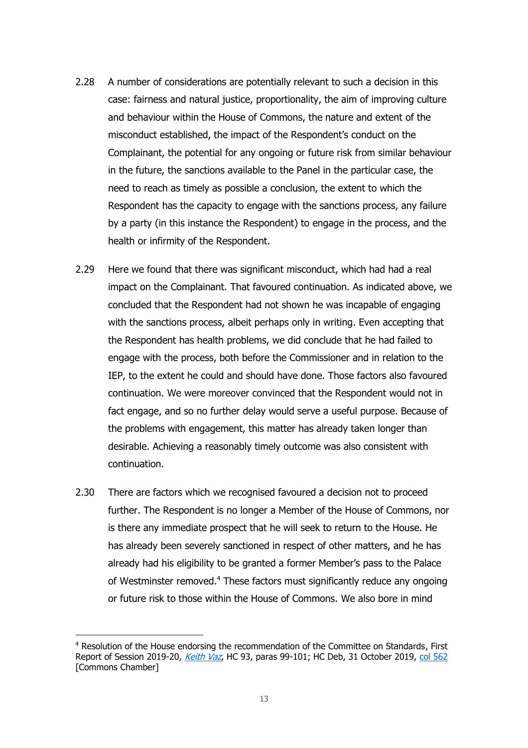- 2.28 A number of considerations are potentially relevant to such a decision in this case: fairness and natural justice, proportionality, the aim of improving culture and behaviour within the House of Commons, the nature and extent of the misconduct established, the impact of the Respondent's conduct on the Complainant, the potential for any ongoing or future risk from similar behaviour in the future, the sanctions available to the Panel in the particular case, the need to reach as timely as possible a conclusion, the extent to which the Respondent has the capacity to engage with the sanctions process, any failure by a party (in this instance the Respondent) to engage in the process, and the health or infirmity of the Respondent.
- 2.29 Here we found that there was significant misconduct, which had had a real impact on the Complainant. That favoured continuation. As indicated above, we concluded that the Respondent had not shown he was incapable of engaging with the sanctions process, albeit perhaps only in writing. Even accepting that the Respondent has health problems, we did conclude that he had failed to engage with the process, both before the Commissioner and in relation to the IEP, to the extent he could and should have done. Those factors also favoured continuation. We were moreover convinced that the Respondent would not in fact engage, and so no further delay would serve a useful purpose. Because of the problems with engagement, this matter has already taken longer than desirable. Achieving a reasonably timely outcome was also consistent with continuation.
- 2.30 There are factors which we recognised favoured a decision not to proceed further. The Respondent is no longer a Member of the House of Commons, nor is there any immediate prospect that he will seek to return to the House. He has already been severely sanctioned in respect of other matters, and he has already had his eligibility to be granted a former Member's pass to the Palace of Westminster removed.<sup>4</sup> These factors must significantly reduce any ongoing or future risk to those within the House of Commons. We also bore in mind

<sup>4</sup> Resolution of the House endorsing the recommendation of the Committee on Standards, First Report of Session 2019-20, [Keith Vaz](https://publications.parliament.uk/pa/cm201919/cmselect/cmstandards/93/93.pdf), HC 93, paras 99-101; HC Deb, 31 October 2019, [col 562](https://hansard.parliament.uk/commons/2019-10-31/debates/2ABDDAEF-1FC6-47B3-B8F3-D6733DA32599/Standards) [Commons Chamber]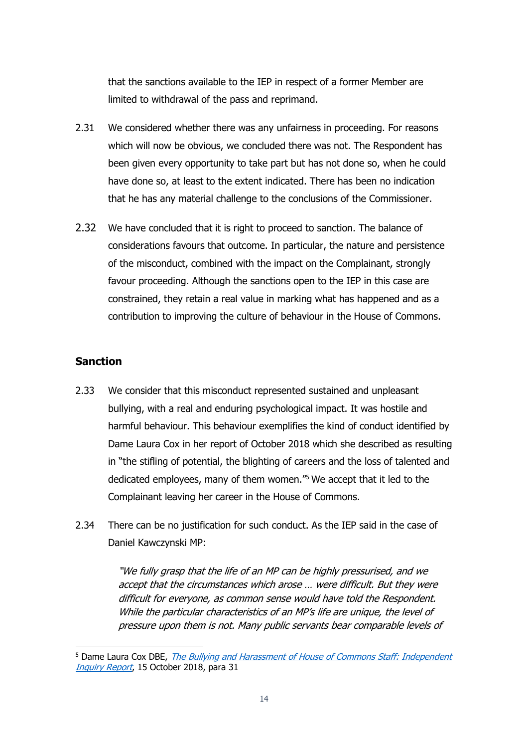that the sanctions available to the IEP in respect of a former Member are limited to withdrawal of the pass and reprimand.

- 2.31 We considered whether there was any unfairness in proceeding. For reasons which will now be obvious, we concluded there was not. The Respondent has been given every opportunity to take part but has not done so, when he could have done so, at least to the extent indicated. There has been no indication that he has any material challenge to the conclusions of the Commissioner.
- 2.32 We have concluded that it is right to proceed to sanction. The balance of considerations favours that outcome. In particular, the nature and persistence of the misconduct, combined with the impact on the Complainant, strongly favour proceeding. Although the sanctions open to the IEP in this case are constrained, they retain a real value in marking what has happened and as a contribution to improving the culture of behaviour in the House of Commons.

### **Sanction**

- 2.33 We consider that this misconduct represented sustained and unpleasant bullying, with a real and enduring psychological impact. It was hostile and harmful behaviour. This behaviour exemplifies the kind of conduct identified by Dame Laura Cox in her report of October 2018 which she described as resulting in "the stifling of potential, the blighting of careers and the loss of talented and dedicated employees, many of them women."<sup>5</sup> We accept that it led to the Complainant leaving her career in the House of Commons.
- 2.34 There can be no justification for such conduct. As the IEP said in the case of Daniel Kawczynski MP:

"We fully grasp that the life of an MP can be highly pressurised, and we accept that the circumstances which arose … were difficult. But they were difficult for everyone, as common sense would have told the Respondent. While the particular characteristics of an MP's life are unique, the level of pressure upon them is not. Many public servants bear comparable levels of

<sup>&</sup>lt;sup>5</sup> Dame Laura Cox DBE, The Bullying and Harassment of House of Commons Staff: Independent [Inquiry Report](https://www.parliament.uk/globalassets/documents/conduct-in-parliament/dame-laura-cox-independent-inquiry-report.pdf), 15 October 2018, para 31